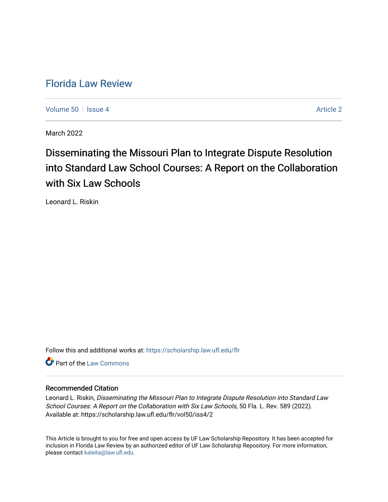## [Florida Law Review](https://scholarship.law.ufl.edu/flr)

[Volume 50](https://scholarship.law.ufl.edu/flr/vol50) | [Issue 4](https://scholarship.law.ufl.edu/flr/vol50/iss4) Article 2

March 2022

# Disseminating the Missouri Plan to Integrate Dispute Resolution into Standard Law School Courses: A Report on the Collaboration with Six Law Schools

Leonard L. Riskin

Follow this and additional works at: [https://scholarship.law.ufl.edu/flr](https://scholarship.law.ufl.edu/flr?utm_source=scholarship.law.ufl.edu%2Fflr%2Fvol50%2Fiss4%2F2&utm_medium=PDF&utm_campaign=PDFCoverPages)

**C** Part of the [Law Commons](https://network.bepress.com/hgg/discipline/578?utm_source=scholarship.law.ufl.edu%2Fflr%2Fvol50%2Fiss4%2F2&utm_medium=PDF&utm_campaign=PDFCoverPages)

#### Recommended Citation

Leonard L. Riskin, Disseminating the Missouri Plan to Integrate Dispute Resolution into Standard Law School Courses: A Report on the Collaboration with Six Law Schools, 50 Fla. L. Rev. 589 (2022). Available at: https://scholarship.law.ufl.edu/flr/vol50/iss4/2

This Article is brought to you for free and open access by UF Law Scholarship Repository. It has been accepted for inclusion in Florida Law Review by an authorized editor of UF Law Scholarship Repository. For more information, please contact [kaleita@law.ufl.edu](mailto:kaleita@law.ufl.edu).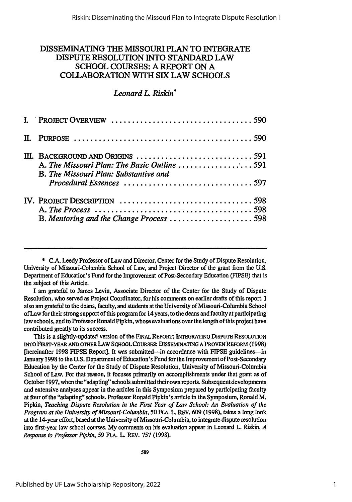### DISSEMINATING **THE** MISSOURI PLAN TO INTEGRATE DISPUTE RESOLUTION INTO STANDARD LAW SCHOOL COURSES: A REPORT ON A COLLABORATION WITH SIX LAW SCHOOLS

#### *Leonard L. Riskin\**

| $\text{III.}$ BACKGROUND AND ORIGINS $\ldots \ldots \ldots \ldots \ldots \ldots \ldots \ldots \ldots$<br>A. The Missouri Plan: The Basic Outline 591<br>B. The Missouri Plan: Substantive and |  |
|-----------------------------------------------------------------------------------------------------------------------------------------------------------------------------------------------|--|
| B. Mentoring and the Change Process 598                                                                                                                                                       |  |

**\* C.A.** Leedy Professor of Law and Director, Center for the Study of Dispute Resolution, University of Missouri-Columbia School of Law, and Project Director of the grant from the **U.S.** Department of Education's Fund for the Improvement of Post-Secondary Education (FIPSE) that is the subject of this Article.

**I** am grateful to James Levin, Associate Director of the Center for the Study of Dispute Resolution, who served as Project Coordinator, for his comments on earlier drafts of this report. **I** also am grateful to the deans, faculty, and students at the University of Missouri-Columbia School of Law for their strong support of this program for 14 years, to the deans and faculty at participating law schools, and to Professor Ronald Pipkin, whose evaluations over the length of this project have contributed greatly to its success.

This is a slightly-updated version of the **FINAL REPORT: INTEGRATING** DISPUTE **RESOLUTION** INTO **FIRST-YEAR AND OTHER LAW SIHOOL COURSES: DISSEMINATING A PROVEN REFORM (1998)** [hereinafter **1998** FIPSE Report]. It was submitted-in accordance with **FIPSE** guidelines-in January **1998** to the **U.S.** Department of Education's Fund for the Improvement of Post-Secondary Education **by** the Center for the Study of Dispute Resolution, University of Missouri-Columbia School of Law. For that reason, it focuses primarily on accomplishments under that grant as of October **1997,** when the "adapting" schools submitted theirown reports. Subsequent developments and extensive analyses appear in the articles in this Symposium prepared **by** participating faculty at four of the "adapting" schools. Professor Ronald Pipkin's article in the Symposium, Ronald M. Pipkin, *Teaching Dispute Resolution in the First Year of Law School: An Evaluation of the Program at the University of Missouri-Columbia, 50* **FLA.** L. REV. **609 (1998),** takes a long look at the 14-year effort, based at the University of Missouri-Columbia, to integrate dispute resolution into first-year law school courses. **My** comments on his evaluation appear in Leonard L. Riskin, *A Response to Professor Pipldn, 59* **FLA.** L. **REV. 757 (1998).**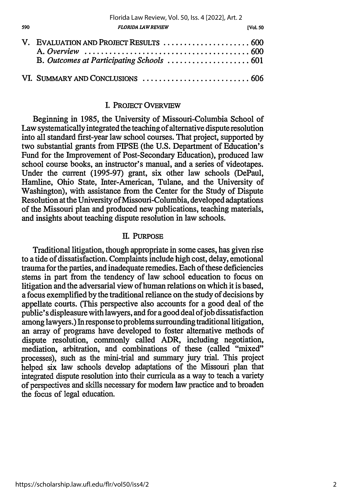| V. EVALUATION AND PROJECT RESULTS  600 |  |
|----------------------------------------|--|
|                                        |  |

590

#### I. PROJECT OVERVIEW

Beginning in 1985, the University of Missouri-Columbia School of Law systematically integrated the teaching of alternative dispute resolution into all standard first-year law school courses. That project, supported by two substantial grants from FIPSE (the U.S. Department of Education's Fund for the Improvement of Post-Secondary Education), produced law school course books, an instructor's manual, and a series of videotapes. Under the current (1995-97) grant, six other law schools (DePaul, Hamline, Ohio State, Inter-American, Tulane, and the University of Washington), with assistance from the Center for the Study of Dispute Resolution at the University of Missouri-Columbia, developed adaptations of the Missouri plan and produced new publications, teaching materials, and insights about teaching dispute resolution in law schools.

#### **II. PURPOSE**

Traditional litigation, though appropriate in some cases, has given rise to a tide of dissatisfaction. Complaints include high cost, delay, emotional trauma for the parties, and inadequate remedies. Each of these deficiencies stems in part from the tendency of law school education to focus on litigation and the adversarial view of human relations on which it is based, a focus exemplified **by** the traditional reliance on the study of decisions **by** appellate courts. (This perspective also accounts for a good deal of the public's displeasure with lawyers, and for a good deal ofjob dissatisfaction among lawyers.) In response to problems surrounding traditional litigation, an array of programs have developed to foster alternative methods of dispute resolution, commonly called ADR, including negotiation, mediation, arbitration, and combinations of these (called "mixed" processes), such as the mini-trial and summary jury trial. This project helped six law schools develop adaptations of the Missouri plan that integrated dispute resolution into their curricula as a way to teach a variety of perspectives and skills necessary for modem law practice and to broaden the focus of legal education.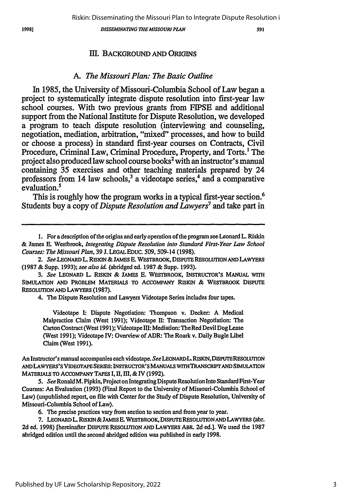*DISSEMINATING TIlE MISSOURI PLAN*

501

#### III. BACKGROUND **AND** ORIGINS

#### *A. The Missouri Plan: The Basic Outline*

In 1985, the University of Missouri-Columbia School of Law began a project to systematically integrate dispute resolution into first-year law school courses. With two previous grants from FIPSE and additional support from the National Institute for Dispute Resolution, we developed a program to teach dispute resolution (interviewing and counseling, negotiation, mediation, arbitration, "mixed" processes, and how to build or choose a process) in standard first-year courses on Contracts, Civil Procedure, Criminal Law, Criminal Procedure, Property, and Torts.<sup>1</sup> The project also produced law school course books2 with an instructor's manual containing 35 exercises and other teaching materials prepared by 24 professors from 14 law schools,<sup>3</sup> a videotape series,<sup>4</sup> and a comparative evaluation.<sup>5</sup>

This is roughly how the program works in a typical first-year section.<sup>6</sup> Students buy a copy of *Dispute Resolution and Lawyers7* and take part in

**1.** For a description of the origins and early operation of the program see Leonard **L.** Riskin

& James E. Westbrook, *Integrating Dispute Resolution into Standard First-Year Law School Courses: The Missouri Plan,* 39 J. LEGALEDUc. 509,509-14 (1998).

2. See.LEONARD L. RISKIN & JAMES E. WESTBROOK, DISPUTE RESOLUTION **AND** LAWYERS (1987 & Supp. 1993); *see also id.* (abridged ed. 1987 & Supp. 1993).

*3. See* LEONARD L. RISKIN & JAMES **E.** WESTBROOK, INSTRUCTOR'S MANUAL WITH **SIMULATION** AND PROBLEM MATERIALS TO ACCOMPANY RISKIN & WESTBROOK DISPUTE RESOLUTION **AND** LAWYERS (1987).

4. **The** Dispute Resolution and Lawyers Videotape Series includes four tapes.

Videotape I: Dispute Negotiation: Thompson v. Decker: A Medical Malpractice Claim (West 1991); Videotape II: Transaction Negotiation: The Carton Contract (West 1991); Videotapelll: Mediation: TheRed Devil DogLease (West 1991); Videotape IV: Overview of ADR: The Roark v. Daily Bugle Libel Claim (West 1991).

An Instructor's manual accompanies each videotape. *See* LEONARDL.RSKIN, DIsPTERESOLUTON **AND** LAWYERS'S VIDEOTAPE SERIES: INSTRUCTOR'SMANUALS WITHTRANSCRITAND SIMULATION MATERIALS TO ACCOMPANY TAPES **1,** I, **El,** & IV **(1992).**

5. See Ronald M. Pipkin, Project on Integrating Dispute Resolution Into Standard First-Year Courses: An Evaluation (1993) (Final Report to the University of Missouri-Columbia School of Law) (unpublished report, on **file** with Center for the Study of Dispute Resolution, University of Missouri-Columbia School of Law).

6. The precise practices vary from section to section and from year to year.

7. LEONARD L. RISKIN &JAMES **E.** WESTBROOK, DISPUTE RESOLUTIONAND LAWYERS (abr. **2d** ed. 1998) [hereinafter DISPUTE RESOLUTION **AND** LAWYERS ABR. 2d ed.]. We used the 1987 abridged edition until the second abridged edition was published in early 1998.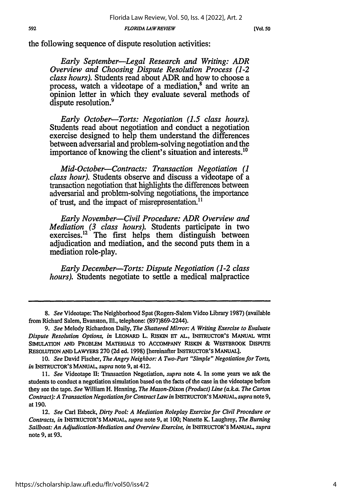*[Vol. 50*

the following sequence of dispute resolution activities:

*Early September-Legal Research and Writing: ADR Overview and Choosing Dispute Resolution Process (1-2 class hours).* Students read about *ADR* and how to choose a process, watch a videotape of a mediation,<sup>8</sup> and write an opinion letter in which they evaluate several methods of dispute resolution.<sup>9</sup>

*Early October-Torts: Negotiation (1.5 class hours).* Students read about negotiation and conduct a negotiation exercise designed to help them understand the differences between adversarial and problem-solving negotiation and the importance of knowing the client's situation and interests.<sup>10</sup>

*Mid-October-Contracts: Transaction Negotiation (1 class hour).* Students observe and discuss a videotape of a **transaction negotiation** that highlights the differences between adversarial and problem-solving negotiations, the importance of trust, and the impact of misrepresentation.<sup>11</sup>

*Early November-Civil Procedure: ADR Overview and Mediation (3 class hours).* Students participate in two exercises.<sup>12</sup> The first helps them distinguish between adjudication and mediation, and the second puts them in a mediation role-play.

*Early December-Torts: Dispute Negotiation (1-2 class hours).* Students negotiate to settle a medical malpractice

*<sup>8.</sup> See* Videotape: **The** Neighborhood Spat (Rogers-Salem Video Library **1987)** (available from Richard Salem, Evanston, **Ill.,** telephone: **(897)869-2244).**

*<sup>9.</sup> See* Melody Richardson Daily, *The Shattered Mirror: A Writing Exercise to Evaluate Dispute Resolution Options, in* LEONARD L. **RJSKiN ET AL, INSTRUCTOR'S MANUAL wrrH** SIMULATION AND PROBLEM MATERIALS TO ACCOMPANY RISKIN & WESTBROOK DISPUTE **RESOLUTIoN AND LAWYERS 270 (2d** ed. **1998)** [hereinafter **INSTRUCTOR'S MANUAL].**

**<sup>10.</sup>** *See* David Fischer, *The Angry Neighbor: A Two-Part "Simple" Negotiation for Torts, in* **INSTRUCroR'S MANUAL,** *supra* note **9,** at 412.

*<sup>11.</sup> See* Videotape **II:** Transaction Negotiation, *supra* note 4. In some years we ask the students to conduct a negotiation simulation based on the facts of the case in the videotape before they see the tape. *See* William H. Henning, *The Mason-Dixon (Product) Line (a.ka. The Carton Contract): A Transaction Negotiation for Contract Law in* **INSTRUCTOR'S MANUAL,** *supra* note **9,** at **190.**

<sup>12.</sup> *See* Carl Esbeck, *Dirty Pool: A Mediation Roleplay Exercise for Civil Procedure or Contracts, in* **INSTRUCTOR'S** MANUAL, *supra* note **9,** at **100;** Nanette K. Laughrey, *The Burning Sailboat: An Adjudication-Mediation and Overview Exercise, in* **INSTRUCTOR'S MANUAL,** *supra* note **9,** at **93.**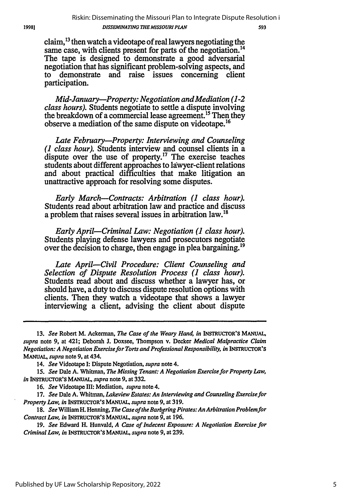claim,  $^{13}$  then watch a videotape of real lawyers negotiating the same case, with clients present for parts of the negotiation.<sup>14</sup> The tape is designed to demonstrate a good adversarial negotiation that has significant problem-solving aspects, and to demonstrate and raise issues concerning client participation.

*Mid-January--Property: Negotiation and Mediation (1-2 class hours).* Students negotiate to settle a dispute involving the breakdown of a commercial lease agreement.<sup>15</sup> Then they observe a mediation of the same dispute on videotape.<sup>16</sup>

*Late February-Property: Interviewing and Counseling (1 class hour).* Students interview and counsel clients in a dispute over the use of property.<sup>17</sup> The exercise teaches students about different approaches to lawyer-client relations and about practical difficulties that make litigation an unattractive approach for resolving some disputes.

*Early March-Contracts: Arbitration (1 class hour).* Students read about arbitration law and practice and discuss a problem that raises several issues in arbitration law.<sup>18</sup>

*Early April-Criminal Law: Negotiation (1 class hour).* Students playing defense lawyers and prosecutors negotiate over the decision to charge, then engage in plea bargaining.<sup>19</sup>

*Late April-Civil Procedure: Client Counseling and Selection of Dispute Resolution Process (1 class hour).* Students read about and discuss whether a lawyer has, or should have, a duty to discuss dispute resolution options with clients. Then they watch a videotape that shows a lawyer interviewing a client, advising the client about dispute

16. *See* Videotape III: Mediation, *supra* note 4.

*17. See* Dale A. Whitman, *Lakeview Estates: An Interviewing and Counseling Exercise for Property Law, in* INSTRUCTOR'S MANUAL, *supra* note 9, at 319.

*18. See* William H. Henning, *The Case of the Barering Pirates: AnArbitration Problem for Contract Law, in* INSTRUCTOR'S **MANUAL,** *supra* note 9, at 196.

19. *See* Edward H. Hunvald, *A Case of Indecent Exposure: A Negotiation Exercise for Criminal Law, in* INSTRUCTOR'S **MANUAL,** *supra* note 9, at 239.

19981

**<sup>13.</sup>** *See* Robert M. Ackerman, *The Case of the Weary Hand, in* INSTRUCTOR'S **MANUAL,** *supra* note 9, at 421; Deborah J. Doxsee, Thompson v. Decker *Medical Malpractice Claim Negotiation: A Negotiation Exercise for Torts and Professional Responsibility, in INSTRUCTOR'S MANUAL, supra* note 9, at 434.

<sup>14.</sup> *See* Videotape I: Dispute Negotiation, *supra* note 4.

*<sup>15.</sup> See* Dale A. Whitman, *The Missing Tenant: A Negotiation Exercise for Property Law, in* **INSTRUCrOR'S MANUAL,** *supra* note **9,** at **332.**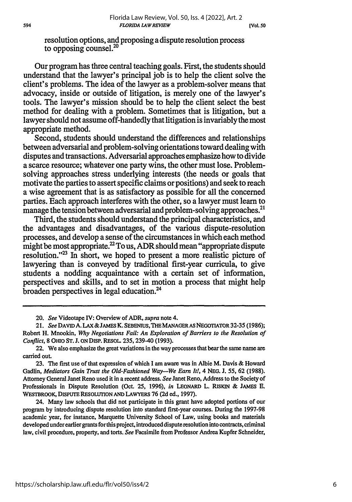resolution options, and proposing a dispute resolution process to opposing counsel.20

Our program has three central teaching goals. First, the students should understand that the lawyer's principal job is to help the client solve the client's problems. The idea of the lawyer as a problem-solver means that advocacy, inside or outside of litigation, is merely one of the lawyer's tools. The lawyer's mission should be to help the client select the best method for dealing with a problem. Sometimes that is litigation, but a lawyer should not assume off-handedly that litigation is invariably the most appropriate method.

Second, students should understand the differences and relationships between adversarial and problem-solving orientations toward dealing with disputes and transactions. Adversarial approaches emphasize how to divide a scarce resource; whatever one party wins, the other must lose. Problemsolving approaches stress underlying interests (the needs or goals that motivate the parties to assert specific claims or positions) and seek to reach a wise agreement that is as satisfactory as possible for all the concerned parties. Each approach interferes with the other, so a lawyer must learn to manage the tension between adversarial and problem-solving approaches.<sup>21</sup>

Third, the students should understand the principal characteristics, and the advantages and disadvantages, of the various dispute-resolution processes, and develop a sense of the circumstances in which each method might be most appropriate.<sup>22</sup> To us, ADR should mean "appropriate dispute resolution."<sup>23</sup> In short, we hoped to present a more realistic picture of lawyering than is conveyed by traditional first-year curricula, to give students a nodding acquaintance with a certain set of information, perspectives and skills, and to set in motion a process that might help broaden perspectives in legal education.24

24. Many law schools that did not participate in this grant have adopted portions of our program by introducing dispute resolution into standard first-year courses. During the 1997-98 academic year, for instance, Marquette University School of Law, using books and materials developed under earlier grants for this project, introduced dispute resolution into contracts, criminal law, civil procedure, property, and torts. *See* Facsimile from Professor Andrea Kupfer Schneider,

<sup>20.</sup> *See* Videotape IV: Overview of ADR, *supra* note 4.

**<sup>21.</sup>** *See* **DAVID A. LAX &JAMES K. SEBENIUS,THE MANAGER As NEGOTIATOR 32-35 (1986);** Robert H. Mnookin, *Why Negotiations Fail: An Exploration of Barriers to the Resolution of Conflict,* **8 OHIO ST. J. ON** DISP. RESOL **235,** 239-40 **(1993).**

<sup>22.</sup> We also emphasize the great variations in the way processes that bear the same name are carried out.

**<sup>23.</sup>** The first use of that expression of which **I** am aware was in Albie M. Davis **&** Howard Gadlin, *Mediators Gain Trust the Old-Fashioned Way--We Earn It!,* 4 **NEG. J. 55, 62 (1988).** Attorney General Janet Reno used it in a recent address. *See* Janet Reno, Address to the Society of Professionals in Dispute Resolution (Oct. 25, 1996), *in* LEONARD L. RISKIN & **JAMES E. WESTBROOK, DIsPUTE RESOLUTION AND LAWYERS** 76 (2d ed., 1997).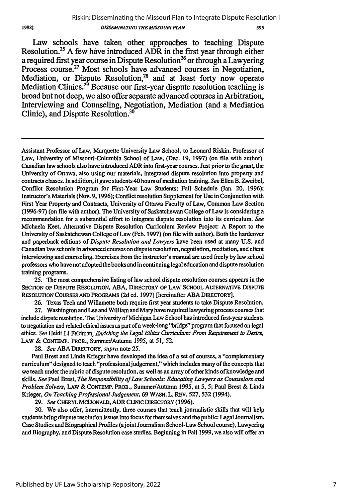#### Riskin: Disseminating the Missouri Plan to Integrate Dispute Resolution i *DISSEMINATING THE MISSOURI PLAN* 595

Law schools have taken other approaches to teaching Dispute Resolution.<sup>25</sup> A few have introduced ADR in the first year through either a required first year course in Dispute Resolution<sup>26</sup> or through a Lawyering Process course.<sup>27</sup> Most schools have advanced courses in Negotiation, Mediation, or Dispute Resolution,<sup>28</sup> and at least forty now operate Mediation Clinics.<sup>29</sup> Because our first-year dispute resolution teaching is broad but not deep, we also offer separate advanced courses in Arbitration, Interviewing and Counseling, Negotiation, Mediation (and a Mediation Clinic), and Dispute Resolution.30

Assistant Professor of Law, Marquette University Law School, to Leonard Riskin, Professor of Law, University of Missouri-Columbia School of Law, (Dec. 19, 1997) (on file with author). Canadian law schools also have introduced ADR into first-year courses. Just prior to the grant, the University of Ottawa, also using our materials, integrated dispute resolution into property and contracts classes. In addition, it gave students 40 hours of mediation training. *See* Ellen B. Zweibel, Conflict Resolution Program for First-Year Law Students: Fall Schedule (Jan. 20, 1996); Instructor's Materials (Nov. 9, 1996); Conflict resolution Supplement for Use in Conjunction with First Year Property and Contracts, University of Ottawa Faculty of Law, Common Law Section (1996-97) (on file with author). The University of Saskatchewan College of Law is considering a recommendation for a substantial effort to integrate dispute resolution into its curriculum. *See* Michaela Keet, Alternative Dispute Resolution Curriculum Review Project: A Report to the University of Saskatchewan College of Law (Feb. 1997) (on file with author). Both the hardcover and paperback editions of *Dispute Resolution and Lawyers* have been used at many U.S. and Canadian law schools in advanced courses on dispute resolution, negotiation, mediation, and client interviewing and counseling. Exercises from the instructor's manual are used freely by law school professors who have not adopted the books and in continuinglegal education and dispute resolution training programs.

**25.** The most comprehensive listing of law school dispute resolution courses appears in the SECTION **OF** DISPUTE **RESOLUTION, ABA,** DIRECTORY **OF LAW SCHOOL ALTERNATIVE** DISPUTE **RESOLUTION COURSES AND** PROGRAMS (2d ed. 1997) [hereinafter ABA DIRECTORY].

26. Texas Tech and Willamette both require first year students to take Dispute Resolution.

**27.** Washington and Lee and William and Mary have required lawyering process courses that include dispute resolution. The University of Michigan Law School has introduced first-year students to negotiation and related ethical issues as part of a week-long "bridge" program that focused on legal ethics. *See* Heidi Li Feldman, *Enriching the Legal Ethics Curriculum: From Requirement to Desire,* LAW & **CONTEMP.** PROB., Summer/Autumn 1995, at 51, 52.

28. *See* ABA DIRECTORY, *supra* note 25.

Paul Brest and Linda Krieger have developed the idea of a set of courses, a "complementary curriculum" designed to teach "professional judgement," which includes many of the concepts that we teach under the rubric of dispute resolution, as well as an array of other kinds of knowledge and skills. *See* Paul Brest, *The Responsibility of Law Schools: Educating Lawyers as Counselors and Problem Solvers,* **LAW** & **CONTEMP.** PROB., Summer/Autumn 1995, at 5, **5;** Paul Brest & Linda Krieger, *On Teaching Professional Judgement,* 69 WASH. L. REV. 527, **532** (1994).

**29.** *See* CHERYL MCDONALD, ADR **CLINIC** DIRECTORY (1996).

30. We also offer, intermittently, three courses that teach journalistic skills that will help students bring dispute resolution issues into focus for themselves and the public: Legal Journalism. Case Studies and Biographical Profiles (ajoint JournalismSchool-Law School course), Lawyering and Biography, and Dispute Resolution case studies. Beginning in Fall 1999, we also will offer an

19981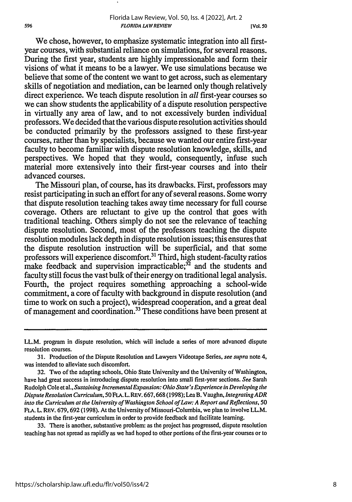**[Vol 50**

We chose, however, to emphasize systematic integration into all firstyear courses, with substantial reliance on simulations, for several reasons. During the first year, students are highly impressionable and form their visions of what it means to be a lawyer. We use simulations because we believe that some of the content we want to get across, such as elementary skills of negotiation and mediation, can be learned only though relatively direct experience. We teach dispute resolution in *all* first-year courses so we can show students the applicability of a dispute resolution perspective in virtually any area of law, and to not excessively burden individual professors. We decided that the various dispute resolution activities should be conducted primarily by the professors assigned to these first-year courses, rather than by specialists, because we wanted our entire first-year faculty to become familiar with dispute resolution knowledge, skills, and perspectives. We hoped that they would, consequently, infuse such material more extensively into their first-year courses and into their advanced courses.

The Missouri plan, of course, has its drawbacks. First, professors may resist participating in such an effort for any of several reasons. Some worry that dispute resolution teaching takes away time necessary for full course coverage. Others are reluctant to give up the control that goes with traditional teaching. Others simply do not see the relevance of teaching dispute resolution. Second, most of the professors teaching the dispute resolution modules lack depth in dispute resolution issues; this ensures that the dispute resolution instruction will be superficial, and that some professors will experience discomfort.<sup>31</sup> Third, high student-faculty ratios make feedback and supervision impracticable; $^{32}$  and the students and faculty still focus the vast bulk of their energy on traditional legal analysis. Fourth, the project requires something approaching a school-wide commitment, a core of faculty with background in dispute resolution (and time to work on such a project), widespread cooperation, and a great deal of management and coordination.<sup>33</sup> These conditions have been present at

33. There is another, substantive problem: as the project has progressed, dispute resolution teaching has not spread as rapidly as we had hoped to other portions of the first-year courses or to

LL.M. program in dispute resolution, which will include a series of more advanced dispute resolution courses.

<sup>31.</sup> Production of the Dispute Resolution and Lawyers Videotape Series, *see supra* note 4, was intended to alleviate such discomfort.

<sup>32.</sup> Two of the adapting schools, Ohio State University and the University of Washington, have had great success in introducing dispute resolution into small first-year sections. *See* Sarah Rudolph Cole et al., *Sustaining Incremental Expansion: Ohio State's Experience in Developing the Dispute Resolution Curriculum,* 50 FLA.L. REV. 667,668 (1998); Lea B. Vaughn, *Integrating ADR into the Curriculum at the University of Washington School of Law: A Report and Reflections,* 50 **FLA.** L. REV. 679, 692 (1998). At the University of Missouri-Columbia, we plan to involve LL.M. students in the first-year curriculum in order to provide feedback and facilitate learning.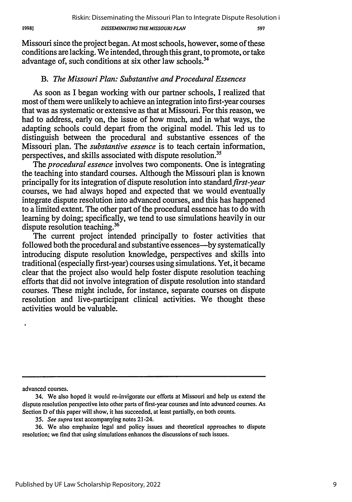1998]

#### **DISSEMINATING THE MISSOURI PLAN**

597

Missouri since the project began. At most schools, however, some of these conditions are lacking. We intended, through this grant, to promote, or take advantage of, such conditions at six other law schools.<sup>34</sup>

## *B. The Missouri Plan: Substantive and Procedural Essences*

As soon as I began working with our partner schools, I realized that most of them were unlikely to achieve an integration into first-year courses that was as systematic or extensive as that at Missouri. For this reason, we had to address, early on, the issue of how much, and in what ways, the adapting schools could depart from the original model. This led us to distinguish between the procedural and substantive essences of the Missouri plan. The *substantive essence* is to teach certain information, perspectives, and skills associated with dispute resolution.<sup>35</sup>

The *procedural essence* involves two components. One is integrating the teaching into standard courses. Although the Missouri plan is known principally for its integration of dispute resolution into *standardfirst-year* courses, we had always hoped and expected that we would eventually integrate dispute resolution into advanced courses, and this has happened to a limited extent. The other part of the procedural essence has to do with learning by doing; specifically, we tend to use simulations heavily in our dispute resolution teaching.<sup>36</sup>

The current project intended principally to foster activities that followed both the procedural and substantive essences—by systematically introducing dispute resolution knowledge, perspectives and skills into traditional (especially first-year) courses using simulations. Yet, it became clear that the project also would help foster dispute resolution teaching efforts that did not involve integration of dispute resolution into standard courses. These might include, for instance, separate courses on dispute resolution and live-participant clinical activities. We thought these activities would be valuable.

advanced courses.

<sup>34.</sup> We also hoped it would re-invigorate our efforts at Missouri and help us extend the dispute resolution perspective into other parts of first-year courses and into advanced courses. As Section D of this paper will show, it has succeeded, at least partially, on both counts.

*<sup>35.</sup> See* supra text accompanying notes 21-24.

<sup>36.</sup> We also emphasize legal and policy issues and theoretical approaches to dispute resolution; we find that using simulations enhances the discussions of such issues.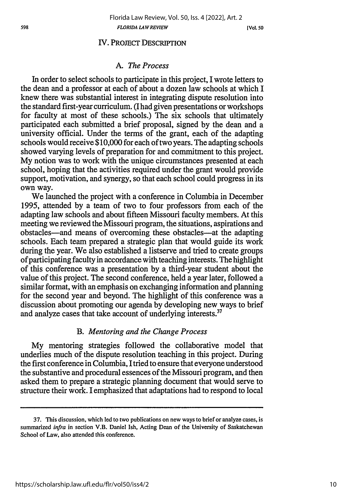*MIo. 50*

#### IV. PROJECT DESCRIPTION

#### *A. The Process*

In order to select schools to participate in this project, I wrote letters to the dean and a professor at each of about a dozen law schools at which I knew there was substantial interest in integrating dispute resolution into the standard first-year curriculum. (I had given presentations or workshops for faculty at most of these schools.) The six schools that ultimately participated each submitted a brief proposal, signed by the dean and a university official. Under the terms of the grant, each of the adapting schools would receive \$10,000 for each of two years. The adapting schools showed varying levels of preparation for and commitment to this project. My notion was to work with the unique circumstances presented at each school, hoping that the activities required under the grant would provide support, motivation, and synergy, so that each school could progress in its own way.

We launched the project with a conference in Columbia in December 1995, attended by a team of two to four professors from each of the adapting law schools and about fifteen Missouri faculty members. At this meeting we reviewed the Missouri program, the situations, aspirations and obstacles-and means of overcoming these obstacles-at the adapting schools. Each team prepared a strategic plan that would guide its work during the year. We also established a listserve and tried to create groups of participating faculty in accordance with teaching interests. The highlight of this conference was a presentation by a third-year student about the value of this project. The second conference, held a year later, followed a similar format, with an emphasis on exchanging information and planning for the second year and beyond. The highlight of this conference was a discussion about promoting our agenda by developing new ways to brief and analyze cases that take account of underlying interests.<sup>37</sup>

#### *B. Mentoring and the Change Process*

My mentoring strategies followed the collaborative model that underlies much of the dispute resolution teaching in this project. During the first conference in Columbia, I tried to ensure that everyone understood the substantive and procedural essences of the Missouri program, and then asked them to prepare a strategic planning document that would serve to structure their work. I emphasized that adaptations had to respond to local

<sup>37.</sup> This discussion, which led to two publications on new ways to brief or analyze cases, is summarized *infra* in section V.B. Daniel Ish, Acting Dean of the University of Saskatchewan School of Law, also attended this conference.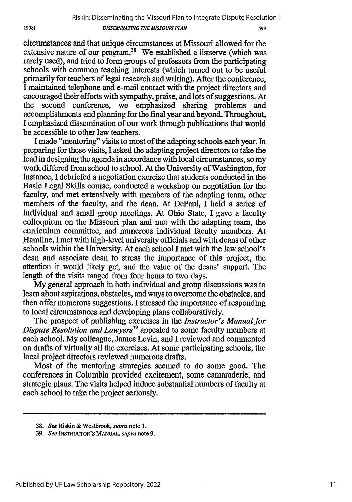19981

*DISSEMINATING THE MISSOURI PLAN*

599

circumstances and that unique circumstances at Missouri allowed for the extensive nature of our program.<sup>38</sup> We established a listserve (which was rarely used), and tried to form groups of professors from the participating schools with common teaching interests (which turned out to be useful primarily for teachers of legal research and writing). After the conference, I maintained telephone and e-mail contact with the project directors and encouraged their efforts with sympathy, praise, and lots of suggestions. At the second conference, we emphasized sharing problems and accomplishments and planning for the final year and beyond. Throughout, I emphasized dissemination of our work through publications that would be accessible to other law teachers.

I made "mentoring" visits to most of the adapting schools each year. In preparing for these visits, I asked the adapting project directors to take the lead in designing the agenda in accordance with local circumstances, so my work differed from school to school. At the University of Washington, for instance, I debriefed a negotiation exercise that students conducted in the Basic Legal Skills course, conducted a workshop on negotiation for the faculty, and met extensively with members of the adapting team, other members of the faculty, and the dean. At DePaul, I held a series of individual and small group meetings. At Ohio State, I gave a faculty colloquium on the Missouri plan and met with the adapting team, the curriculum committee, and numerous individual faculty members. At Hamline, I met with high-level university officials and with deans of other schools within the University. At each school I met with the law school's dean and associate dean to stress the importance of this project, the attention it would likely get, and the value of the deans' support. The length of the visits ranged from four hours to two days.

My general approach in both individual and group discussions was to learn about aspirations, obstacles, and ways to overcome the obstacles, and then offer numerous suggestions. I stressed the importance of responding to local circumstances and developing plans collaboratively.

The prospect of publishing exercises in the *Instructor's Manual for Dispute Resolution and Lawyers*<sup>39</sup> appealed to some faculty members at each school. My colleague, James Levin, and I reviewed and commented on drafts of virtually all the exercises. At some participating schools, the local project directors reviewed numerous drafts.

Most of the mentoring strategies seemed to do some good. The conferences in Columbia provided excitement, some camaraderie, and strategic plans. The visits helped induce substantial numbers of faculty at each school to take the project seriously.

<sup>38.</sup> *See* Riskin & Westbrook, *supra* note 1.

<sup>39.</sup> *See* INSTRUCTOR'S **MANUAL,** *supra* note 9.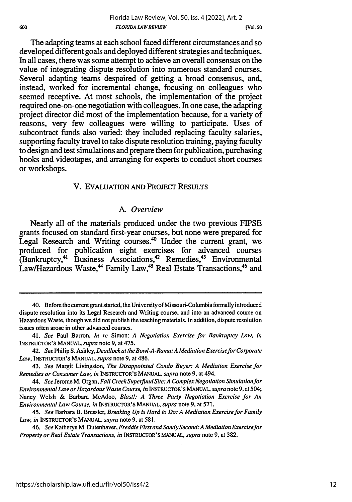The adapting teams at each school faced different circumstances and so developed different goals and deployed different strategies and techniques. In all cases, there was some attempt to achieve an overall consensus on the value of integrating dispute resolution into numerous standard courses. Several adapting teams despaired of getting a broad consensus, and, instead, worked for incremental change, focusing on colleagues who seemed receptive. At most schools, the implementation of the project required one-on-one negotiation with colleagues. In one case, the adapting project director did most of the implementation because, for a variety of reasons, very few colleagues were willing to participate. Uses of subcontract funds also varied: they included replacing faculty salaries, supporting faculty travel to take dispute resolution training, paying faculty to design and test simulations and prepare them for publication, purchasing books and videotapes, and arranging for experts to conduct short courses or workshops.

#### V. EVALUATION **AND** PROJECT **RESULTS**

#### *A.* Overview

Nearly all of the materials produced under the two previous FIPSE grants focused on standard first-year courses, but none were prepared for Legal Research and Writing courses.<sup>40</sup> Under the current grant, we produced for publication eight exercises for advanced courses (Bankruptcy,<sup>41</sup> Business Associations,<sup>42</sup> Remedies,<sup>43</sup> Environmental Law/Hazardous Waste,<sup>44</sup> Family Law,<sup>45</sup> Real Estate Transactions,<sup>46</sup> and

<sup>40.</sup> Before the current grant started, the University of Missouri-Columbia formally introduced dispute resolution into its Legal Research and Writing course, and into an advanced course on Hazardous Waste, though we did not publish the teaching materials. In addition, dispute resolution issues often arose in other advanced courses.

<sup>41.</sup> *See* Paul Barron, *In re* Simon: *A Negotiation Exercise for Bankruptcy Law, in* **INSTRUCTOR'S MANUAL,** *supra* note **9,** at 475.

*<sup>42.</sup> See* Philip **S.** *Ashley, DeadlockattheBowl-A-Rama:A Mediation Exercisefor Corporate* Law, **INSTRUCTOR'S MANUAL,** *supra* note **9,** at 486.

<sup>43.</sup> *See* Margit Livingston, *The Disappointed Condo Buyer: A Mediation Exercise for Remedies or Consumer Law, in* **INSTRUCTOR'S MANUAL,** *supra* note **9,** at 494.

*<sup>44.</sup> See* Jerome M. Organ, *Fall Creek Superfund Site: A Complex Negotiation Simulation for Environmental Law or Hazardous Waste Course, in* **INSTRUCTOR'S MANUAL,** *supra* note **9,** at 504; Nancy Welsh **&** Barbara McAdoo, *Blast!: A Three Party Negotiation Exercise for An Environmental Law Course, in* **INSTRUCTOR'S MANUAL,** *supra* note **9,** at **571.**

<sup>45.</sup> *See* Barbara B. Bressler, *Breaking Up is Hard to Do: A Mediation Exercise for Family Law, in* **INSTRUCTOR'S MANUAL,** *supra* note **9,** at **581.**

<sup>46.</sup> *See* Katheryn M. Dutenhaver, *Freddie First and Sandy Second: A Mediation Exercisefor Property or Real Estate Transactions, in* **INSTRUCTOR'S MANUAL,** *supra* note **9,** at **382.**

<sup>600</sup>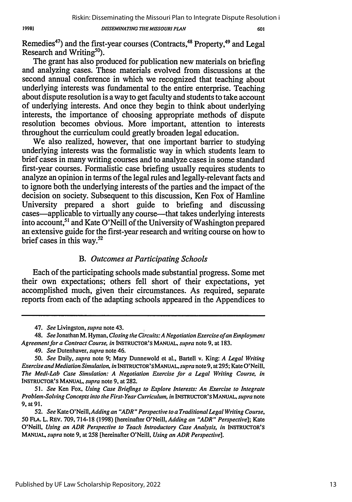**DISSEMINATING** *TIE* **MISSOURI PLAN**

601

Remedies<sup>47</sup>) and the first-year courses (Contracts, <sup>48</sup> Property, <sup>49</sup> and Legal Research and Writing<sup>50</sup>)

The grant has also produced for publication new materials on briefing and analyzing cases. These materials evolved from discussions at the second annual conference in which we recognized that teaching about underlying interests was fundamental to the entire enterprise. Teaching about dispute resolution is a way to get faculty and students to take account of underlying interests. And once they begin to think about underlying interests, the importance of choosing appropriate methods of dispute resolution becomes obvious. More important, attention to interests throughout the curriculum could greatly broaden legal education.

We also realized, however, that one important barrier to studying underlying interests was the formalistic way in which students learn to brief cases in many writing courses and to analyze cases in some standard first-year courses. Formalistic case briefing usually requires students to analyze an opinion in terms of the legal rules and legally-relevant facts and to ignore both the underlying interests of the parties and the impact of the decision on society. Subsequent to this discussion, Ken Fox of Hamline University prepared a short guide to briefing and discussing cases—applicable to virtually any course—that takes underlying interests into account, **<sup>5</sup> '** and Kate O'Neill of the University of Washington prepared an extensive guide for the first-year research and writing course on how to brief cases in this way.<sup>52</sup>

#### *B. Outcomes at Participating Schools*

Each of the participating schools made substantial progress. Some met their own expectations; others fell short of their expectations, yet accomplished much, given their circumstances. As required, separate reports from each of the adapting schools appeared in the Appendices to

49. *See* Dutenhaver, *supra* note 46.

*51. See* Ken Fox, *Using Case Briefings to Explore Interests: An Exercise to Integrate Problem-Solving Concepts into the First-Year Curriculum, in* INSTRUCTOR'S **MANUAL,** *supra* note 9, at 91.

<sup>47.</sup> *See* Livingston, *supra* note 43.

<sup>48.</sup> *See* Jonathan M. Hyman, *Closing the Circuits: A Negotiation Exercise ofan Employment Agreement for a Contract Course, in* INSTRUCrOR'S **MANUAL,** supra note 9, at 183.

<sup>50.</sup> *See* Daily, *supra* note 9; Mary Dunnewold et al., Bartell v. King: *A Legal Writing Exercise and Mediation Simulation, in* INSTRUCrOR'S **MANUAL,** *supra* **note9,** at 295; KateO'Neill, *The Medi-Lab Case Simulation: A Negotiation Exercise for a Legal Writing Course, in* **INSTRUCTOR'S** MANUAL, *supra* note **9,** at **282.**

*<sup>52.</sup> See* Kate O'Neill,Adding *an "ADR" Perspective to a TraditionalLegal Writing Course,* 50 **FLA.** L. REV. 709, 714-18 (1998) [hereinafter O'Neill, *Adding an "ADR" Perspective];* Kate O'Neill, *Using an ADR Perspective to Teach Introductory Case Analysis, in* **INSTRUCTOR'S MANUAL,** *supra* note 9, at 258 [hereinafter O'Neill, *Using an ADR Perspective].*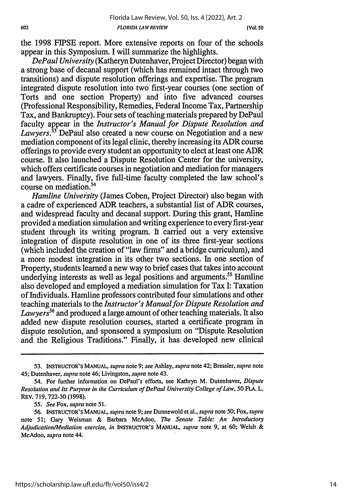the 1998 FIPSE report. More extensive reports on four of the schools appear in this Symposium. I will summarize the highlights.

*DePaul University* (Katheryn Dutenhaver, Project Director) began with a strong base of decanal support (which has remained intact through two transitions) and dispute resolution offerings and expertise. The program integrated dispute resolution into two first-year courses (one section of Torts and one section Property) and into five advanced courses (Professional Responsibility, Remedies, Federal Income Tax, Partnership Tax, and Bankruptcy). Four sets of teaching materials prepared by DePaul faculty appear in the *Instructor's Manual for Dispute Resolution and Lawyers.53* DePaul also created a new course on Negotiation and a new mediation component of its legal clinic, thereby increasing its ADR course offerings to provide every student an opportunity to elect at least one ADR course. It also launched a Dispute Resolution Center for the university, which offers certificate courses in negotiation and mediation for managers and lawyers. Finally, five full-time faculty completed the law school's course on mediation.54

*Hamline University* (James Coben, Project Director) also began with a cadre of experienced ADR teachers, a substantial list of ADR courses, and widespread faculty and decanal support. During this grant, Hamline provided a mediation simulation and writing experience to every first-year student through its writing program. It carried out a very extensive integration of dispute resolution in one of its three first-year sections (which included the creation of "law firms" and a bridge curriculum), and a more modest integration in its other two sections. In one section of Property, students learned a new way to brief cases that takes into account underlying interests as well as legal positions and arguments.<sup>55</sup> Hamline also developed and employed a mediation simulation for Tax I: Taxation of Individuals. Hamline professors contributed four simulations and other teaching materials to the *Instructor's Manual for Dispute Resolution and Lawyers56* and produced a large amount of other teaching materials. It also added new dispute resolution courses, started a certificate program in dispute resolution, and sponsored a symposium on "Dispute Resolution and the Religious Traditions." Finally, it has developed new clinical

**<sup>53.</sup> INSTRUCTOR'S MANUAL,** *supra* note **9;** *see* Ashley, *supra* note 42; Bressler, *supra* note 45; Dutenhaver, *supra* note 46; Livingston, *supra* note 43.

<sup>54.</sup> For further information on DePaul's efforts, see Kathryn M. Dutenhaver, *Dispute Resolution and Its Purpose in the Curriculum of DePaul University College of Law, 50* FLA. L. REv. 719, 722-30 (1998).

*<sup>55.</sup> See* Fox, *supra* note 51.

<sup>56.</sup> INSTRUCTOR'S **MANUAL,** *supra* note 9; *see* Dunnewold et al., *supra* note 50; Fox, *supra* note 51; Gary Weisman & Barbara McAdoo, *The Senate Table: An Introductory Adjudication/Mediation exercise, in* INSTRUCTOR'S MANUAL, *supra* note 9, at **60;** Welsh **&** McAdoo, *supra* note 44.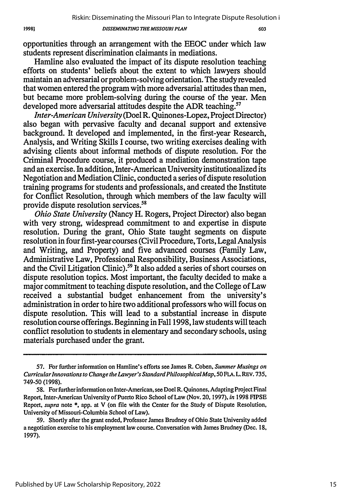#### **DISSEMINATING** *THE MISSOURI PLAN*

603

opportunities through an arrangement with the EEOC under which law students represent discrimination claimants in mediations.

Hamline also evaluated the impact of its dispute resolution teaching efforts on students' beliefs about the extent to which lawyers should maintain an adversarial or problem-solving orientation. The study revealed that women entered the program with more adversarial attitudes than men, but became more problem-solving during the course of the year. Men developed more adversarial attitudes despite the ADR teaching.<sup>57</sup>

*Inter-American University* (Doel R. Quinones-Lopez, Project Director) also began with pervasive faculty and decanal support and extensive background. It developed and implemented, in the first-year Research, Analysis, and Writing Skills I course, two writing exercises dealing with advising clients about informal methods of dispute resolution. For the Criminal Procedure course, it produced a mediation demonstration tape and an exercise. In addition, Inter-American University institutionalized its Negotiation and Mediation Clinic, conducted a series of dispute resolution training programs for students and professionals, and created the Institute for Conflict Resolution, through which members of the law faculty will provide dispute resolution services.<sup>58</sup>

*Ohio State University* (Nancy H. Rogers, Project Director) also began with very strong, widespread commitment to and expertise in dispute resolution. During the grant, Ohio State taught segments on dispute resolution in four first-year courses (Civil Procedure, Torts, Legal Analysis and Writing, and Property) and five advanced courses (Family Law, Administrative Law, Professional Responsibility, Business Associations, and the Civil Litigation Clinic).<sup>59</sup> It also added a series of short courses on dispute resolution topics. Most important, the faculty decided to make a major commitment to teaching dispute resolution, and the College of Law received a substantial budget enhancement from the university's administration in order to hire two additional professors who will focus on dispute resolution. This will lead to a substantial increase in dispute resolution course offerings. Beginning in Fall 1998, law students will teach conflict resolution to students in elementary and secondary schools, using materials purchased under the grant.

<sup>57.</sup> For further information on Hamline's efforts see James R. Coben, Summer *Musings on Curricular Innovations to Change the Lawyer'sStandard Philosophical Map,* 50 FLA. L. REV. 735, 749-50 (1998).

<sup>58.</sup> For further information on Inter-American, see Doel R. Quinones, Adapting Project Final Report, Inter-American University of Puerto Rico School of Law (Nov. 20, 1997), *in* 1998 FIPSE Report, supra note **\*,** app. at V (on file with the Center for the Study of Dispute Resolution, University of Missouri-Columbia School of Law).

<sup>59.</sup> Shortly after the grant ended, Professor James Brudney of Ohio State University added a negotiation exercise to his employment law course. Conversation with James Brudney (Dec. 18, 1997).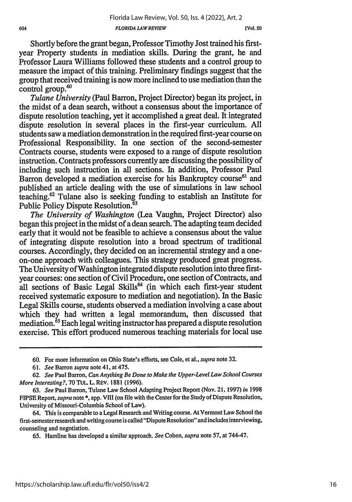Shortly before the grant began, Professor Timothy lost trained his firstyear Property students in mediation skills. During the grant, he and Professor Laura Williams followed these students and a control group to measure the impact of this training. Preliminary findings suggest that the group that received training is now more inclined to use mediation than the control group.<sup>60</sup>

*Tulane University* (Paul Barron, Project Director) began its project, in the midst of a dean search, without a consensus about the importance of dispute resolution teaching, yet it accomplished a great deal. It integrated dispute resolution in several places in the first-year curriculum. All students saw a mediation demonstration in the required first-year course on Professional Responsibility. In one section of the second-semester Contracts course, students were exposed to a range of dispute resolution instruction. Contracts professors currently are discussing the possibility of including such instruction in all sections. In addition, Professor Paul Barron developed a mediation exercise for his Bankruptcy course<sup>61</sup> and published an article dealing with the use of simulations in law school teaching.62 Tulane also is seeking funding to establish an Institute for Public Policy Dispute Resolution.<sup>63</sup>

*The University of Washington* (Lea Vaughn, Project Director) also began this project in the midst of a dean search. The adapting team decided early that it would not be feasible to achieve a consensus about the value of integrating dispute resolution into a broad spectrum of traditional courses. Accordingly, they decided on an incremental strategy and a oneon-one approach with colleagues. This strategy produced great progress. The University of Washington integrated dispute resolution into three firstyear courses: one section of Civil Procedure, one section of Contracts, and all sections of Basic Legal Skills<sup>64</sup> (in which each first-year student received systematic exposure to mediation and negotiation). In the Basic Legal Skills course, students observed a mediation involving a case about which they had written a legal memorandum, then discussed that mediation.<sup>65</sup> Each legal writing instructor has prepared a dispute resolution exercise. This effort produced numerous teaching materials for local use

**<sup>60.</sup>** For more information on Ohio State's efforts, see Cole, et al., *supra* note **32.**

<sup>61.</sup> *See* Barron *supra* note 41, at475.

<sup>62.</sup> *See* Paul Barron, *Can Anything Be Done to Make the Upper-Level Law School Courses More Interesting?,* 70 **TUL** L. REV. 1881 (1996).

<sup>63.</sup> *See* Paul Barron, Tulane Law School Adapting Project Report (Nov. 21, 1997) *in* 1998 **FIPSE** Report, *supra* note **\*,** app. VIII (on file with the Center for the Study of Dispute Resolution, University of Missouri-Columbia School of Law).

<sup>64.</sup> This is comparable to a Legal Research and Writing course. At Vermont Law School the first-semester research and writing course is called "Dispute Resolution" and includes interviewing, counseling and negotiation.

<sup>65.</sup> Hamline has developed a similar approach. *See* Coben, *supra* note **57,** at 744-47.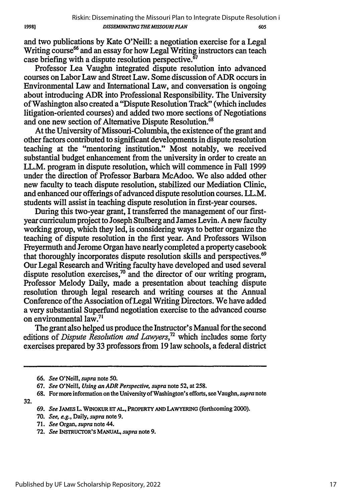and two publications **by** Kate O'Neill: a negotiation exercise for a Legal Writing course<sup>66</sup> and an essay for how Legal Writing instructors can teach case briefing with a dispute resolution perspective. $\frac{67}{6}$ 

Professor Lea Vaughn integrated dispute resolution into advanced courses on Labor Law and Street Law. Some discussion of ADR occurs in Environmental Law and International Law, and conversation is ongoing about introducing ADR into Professional Responsibility. The University of Washington also created a "Dispute Resolution Track" (which includes litigation-oriented courses) and added two more sections of Negotiations and one new section of Alternative Dispute Resolution.<sup>68</sup>

At the University of Missouri-Columbia, the existence of the grant and other factors contributed to significant developments in dispute resolution teaching at the "mentoring institution." Most notably, we received substantial budget enhancement from the university in order to create an LL.M. program in dispute resolution, which will commence in Fall **1999** under the direction of Professor Barbara McAdoo. We also added other new faculty to teach dispute resolution, stabilized our Mediation Clinic, and enhanced our offerings of advanced dispute resolution courses. LL.M. students will assist in teaching dispute resolution in first-year courses.

During this two-year grant, I transferred the management of our firstyear curriculum project to Joseph Stulberg and James Levin. **A** new faculty working group, which they led, is considering ways to better organize the teaching of dispute resolution in the first year. And Professors Wilson Freyermuth and Jerome Organ have nearly completed a property casebook that thoroughly incorporates dispute resolution skills and perspectives.<sup>69</sup> Our Legal Research and Writing faculty have developed and used several dispute resolution exercises,<sup>70</sup> and the director of our writing program, Professor Melody Daily, made a presentation about teaching dispute resolution through legal research and writing courses at the Annual Conference of the Association of Legal Writing Directors. We have added a very substantial Superfund negotiation exercise to the advanced course on environmental law.<sup>7</sup>

The grant also helped us produce the Instructor's Manual for the second editions of *Dispute Resolution and Lawyers,72* which includes some forty exercises prepared **by 33** professors from **19** law schools, a federal district

**32.**

- **71.** *See* Organ, *supra* note 44.
- **72.** *See* INsmucroR's **MANUAL,** *supra* note **9.**

**<sup>66.</sup>** *See* O'Neill, *supra* note **50.**

**<sup>67.</sup>** *See* O'Neill, *Using an ADR Perspective, supra* note **52, at 258.**

**<sup>68.</sup>** For more information on the University of Washington's efforts, see Vaughn, *supra* note

**<sup>69.</sup>** *See* **JAMES** L. **WINOKUR E" AL.,** PROPERTY **AND** LAWYERING (forthcoming 2000).

**<sup>70.</sup>** *See, e.g.,* Daily, *supra* note **9.**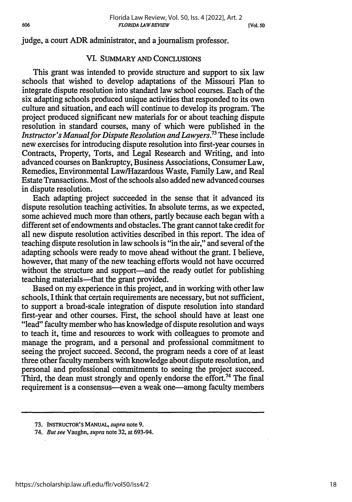judge, a court ADR administrator, and a journalism professor.

#### VI. SUMMARY AND CONCLUSIONS

This grant was intended to provide structure and support to six law schools that wished to develop adaptations of the Missouri Plan to integrate dispute resolution into standard law school courses. Each of the six adapting schools produced unique activities that responded to its own culture and situation, and each will continue to develop its program. The project produced significant new materials for or about teaching dispute resolution in standard courses, many of which were published in the *Instructor's Manualfor Dispute Resolution and Lawyers.73* These include new exercises for introducing dispute resolution into first-year courses in Contracts, Property, Torts, and Legal Research and Writing, and into advanced courses on Bankruptcy, Business Associations, Consumer Law, Remedies, Environmental Law/Hazardous Waste, Family Law, and Real Estate Transactions. Most of the schools also added new advanced courses in dispute resolution.

Each adapting project succeeded in the sense that it advanced its dispute resolution teaching activities. In absolute terms, as we expected, some achieved much more than others, partly because each began with a different set of endowments and obstacles. The grant cannot take credit for all new dispute resolution activities described in this report. The idea of teaching dispute resolution in law schools is "in the air," and several of the adapting schools were ready to move ahead without the grant. I believe, however, that many of the new teaching efforts would not have occurred without the structure and support—and the ready outlet for publishing teaching materials—that the grant provided.

Based on my experience in this project, and in working with other law schools, I think that certain requirements are necessary, but not sufficient, to support a broad-scale integration of dispute resolution into standard first-year and other courses. First, the school should have at least one "lead" faculty member who has knowledge of dispute resolution and ways to teach it, time and resources to work with colleagues to promote and manage the program, and a personal and professional commitment to seeing the project succeed. Second, the program needs a core of at least three other faculty members with knowledge about dispute resolution, and personal and professional commitments to seeing the project succeed. Third, the dean must strongly and openly endorse the effort.<sup>74</sup> The final requirement is a consensus—even a weak one—among faculty members

**<sup>73.</sup>** INSTRUCTOR'S **MANUAL,** *supra* **note 9.**

<sup>74.</sup> *But see* Vaughn, *supra* note 32, at 693-94.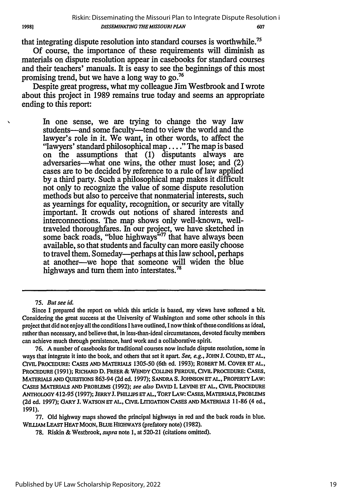that integrating dispute resolution into standard courses is worthwhile.

Of course, the importance of these requirements will diminish as materials on dispute resolution appear in casebooks for standard courses and their teachers' manuals. It is easy to see the beginnings of this most promising trend, but we have a long way to go.<sup>76</sup>

Despite great progress, what my colleague Jim Westbrook and I wrote about this project in 1989 remains true today and seems an appropriate ending to this report:

In one sense, we are trying to change the way law students-and some faculty-tend to view the world and the lawyer's role in it. We want, in other words, to affect the "lawyers' standard philosophical map ..... The map is based on the assumptions that (1) disputants always are adversaries—what one wins, the other must lose; and (2) cases are to be decided by reference to a rule of law applied by a third party. Such a philosophical map makes it difficult not only to recognize the value of some dispute resolution methods but also to perceive that nonmaterial interests, such as yearnings for equality, recognition, or security are vitally important. It crowds out notions of shared interests and interconnections. The map shows only well-known, welltraveled thoroughfares. In our project, we have sketched in some back roads, "blue highways"<sup>77</sup> that have always been available, so that students and faculty can more easily choose to travel them. Someday---perhaps at this law school, perhaps at another-we hope that someone will widen the blue highways and turn them into interstates.<sup>78</sup>

75. But see id.

76. A number of casebooks for traditional courses now include dispute resolution, some in ways that integrate it into the book, and others that set it apart. See, e.g., JOHN **J.** COUND, **ET AL,** CIVIL PROCEDURE: **CASES AND MATERIALS** 1305-50 (6th ed. **1993);** ROBERT M. COVER **ET AL, PROCEDURE (1991);** RICHARD **D. FREER & WENDY COUINS PERDUE, CIVIL PROCEDURE: CASES, MATERIALS AND QUESTIONS 863-94 (2d** ed. **1997); SANDRA S. JOHNSON ET AL, PROPERTY LAW: CASES MATERIALS AND PROBLEMS (1992); see also DAVID I. LEVINE ET AL, CIVIL PROCEDURE ANTHOLOGY 412-95 (1997); JERRY J. PHILLIPS ET AL, TORT LAW: CASES, MATERIALS, PROBLEMS (2d ed. 1997); GARY J. WATSON ET AL, CIVIL LITIGATION** CASES **AND MATERIALS 11-86** (4 **ed.,** 1991).

77. Old highway maps showed the principal highways in red and the back roads in blue. **WILLIAM** LEAST **HEAT** MOON, BLUE **HIGHWAYS** (prefatory note) (1982).

78. Riskin & Westbrook, supra note **1,** at 520-21 (citations omitted).

Since I prepared the report on which this article is based, my views have softened a bit. Considering the great success at the University of Washington and some other schools in this project that did not enjoy all the conditions I have outlined, I now think of these conditions as ideal, rather than necessary, and believe that, in less-than-ideal circumstances, devoted faculty members can achieve much through persistence, hard work and a collaborative spirit.